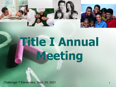

# **Title I Annual Meeting**

Challenger 7 Elementary Sept. 23, 2021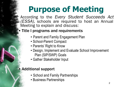## **Purpose of Meeting**

According to the Every Student Succeeds Act (ESSA), schools are required to host an Annual Meeting to explain and discuss:

#### **Title I programs and requirements**

- Parent and Family Engagement Plan
- School-Parent Compact
- Parents' Right to Know
- Design, Implement and Evaluate School Improvement Plan (SIP/SWP) Goals
- Gather Stakeholder Input

#### **Additional support**

- School and Family Partnerships
- Business Partnerships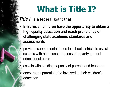### **What is Title I?**

**Title I** is a federal grant that:

- Ensures all children have the opportunity to obtain a **high-quality education and reach proficiency on challenging state academic standards and assessments**
	- provides supplemental funds to school districts to assist schools with high concentrations of poverty to meet educational goals
- assists with building capacity of parents and teachers encourages parents to be involved in their children's education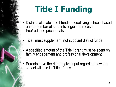## **Title I Funding**

- **Districts allocate Title I funds to qualifying schools based** on the number of students eligible to receive free/reduced price meals
- Title I must supplement, not supplant district funds
- **A specified amount of the Title I grant must be spent on** family engagement and professional development
- **Parents have the right to give input regarding how the** school will use its Title I funds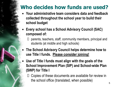### **Who decides how funds are used?**

- **Your administrative team considers data and feedback collected throughout the school year to build their school budget**
- **Every school has a School Advisory Council (SAC) composed of:**
	- $\Box$  parents, teachers, staff, community members, principal and students (at middle and high schools)
	- **The School Advisory Council helps determine how to use Title I funds. Please consider joining!**
- Use of Title I funds must align with the goals of the **School Improvement Plan (SIP) and School-wide Plan (SWP) for Title I**

 $\Box$  Copies of these documents are available for review in the school office (translated, when possible)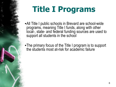## **Title I Programs**

■ All Title I public schools in Brevard are school-wide programs, meaning Title I funds, along with other local-, state- and federal funding sources are used to support all students in the school

•The primary focus of the Title I program is to support the students most at-risk for academic failure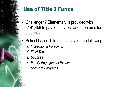

### **Use of Title I Funds**

- Challenger 7 Elementary is provided with \$181,458 to pay for services and programs for our students.
- School-based Title I funds pay for the following: *Instructional Personnel*
	- *Field Trips*
	- *Supplies*
	- *Family Engagement Events*
	- *Software Programs*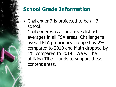### **School Grade Information**

- Challenger 7 is projected to be a "B" school.
- Challenger was at or above distinct averages in all FSA areas. Challenger's overall ELA proficiency dropped by 2% compared to 2019 and Math dropped by 1% compared to 2019. We will be utilizing Title I funds to support these content areas.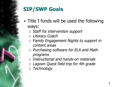

### **SIP/SWP Goals**

- **Title I funds will be used the following** ways:
	- Staff for intervention support
	- D Literacy Coach
	- Family Engagement Nights to support in content areas
	- **D** Purchasing software for ELA and Math programs
	- Instructional and hands-on materials
	- Lagoon Quest field trip for 4th grade
	- Technology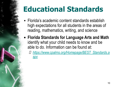### **Educational Standards**

- Florida's academic content standards establish high expectations for all students in the areas of reading, mathematics, writing, and science
- **Example 21 Figure Standards for Language Arts and Math** identify what your child needs to know and be able to do. Information can be found at:
	- *[https://www.cpalms.org/Homepage/BEST\\_Standards.a](https://www.cpalms.org/Homepage/BEST_Standards.aspx) [spx](https://www.cpalms.org/Homepage/BEST_Standards.aspx)*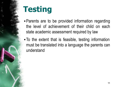

- **Parents are to be provided information regarding** the level of achievement of their child on each state academic assessment required by law
- To the extent that is feasible, testing information must be translated into a language the parents can understand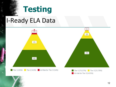### **I-Ready ELA Data**

 $\frac{1}{2}$ 

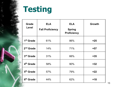

| <b>Grade</b><br><b>Level</b> | <b>ELA</b><br><b>Fall Proficiency</b> | <b>ELA</b><br><b>Spring</b><br><b>Proficiency</b> | <b>Growth</b> |
|------------------------------|---------------------------------------|---------------------------------------------------|---------------|
| 1 <sup>st</sup> Grade        | 61%                                   | 86%                                               | $+25$         |
| 2 <sup>nd</sup> Grade        | 14%                                   | 71%                                               | +57           |
| 3rd Grade                    | 31%                                   | 66%                                               | $+35$         |
| 4 <sup>th</sup> Grade        | 58%                                   | 90%                                               | $+32$         |
| 5 <sup>th</sup> Grade        | 57%                                   | 79%                                               | $+22$         |
| 6 <sup>th</sup> Grade        | 44%                                   | 62%                                               | $+18$         |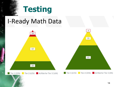

 $22$ 

Tier 1 (22%) Tier 2 (62%) At Risk for Tier 3 (16%)

61

Tler 1 (61%) Tler 2 (35%) At Risk for Tier 3 (4%)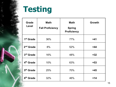

| <b>Grade</b><br>Level | <b>Math</b><br><b>Fall Proficiency</b> | <b>Math</b><br><b>Spring</b><br><b>Proficiency</b> | <b>Growth</b> |
|-----------------------|----------------------------------------|----------------------------------------------------|---------------|
| 1 <sup>st</sup> Grade | 36%                                    | 77%                                                | $+41$         |
| 2 <sup>nd</sup> Grade | 8%                                     | 52%                                                | $+44$         |
| 3rd Grade             | 16%                                    | 48%                                                | $+32$         |
| 4 <sup>th</sup> Grade | 10%                                    | 63%                                                | $+53$         |
| 5 <sup>th</sup> Grade | 25%                                    | 70%                                                | $+45$         |
| 6 <sup>th</sup> Grade | 32%                                    | 46%                                                | $+14$         |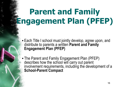- **Each Title I school must jointly develop, agree upon, and** distribute to parents a written **Parent and Family Engagement Plan (PFEP)**
- **The Parent and Family Engagement Plan (PFEP)** describes how the school will carry out parent involvement requirements, including the development of a **School-Parent Compact**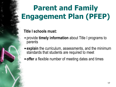#### **Title I schools must:**

- provide **timely information** about Title I programs to parents
- **Explain** the curriculum, assessments, and the minimum standards that students are required to meet
- **Figure 1** offer a flexible number of meeting dates and times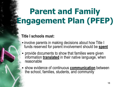#### **Title I schools must:**

- involve parents in making decisions about how Title I funds reserved for parent involvement should be **spent**
- provide documents to show that families were given information **translated** in their native language, when reasonable
- **E** show evidence of continuous **communication** between the school, families, students, and community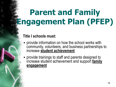#### **Title I schools must:**

- **provide information on how the school works with** community, volunteers, and business partnerships to increase **student achievement**
- provide trainings to staff and parents designed to increase student achievement and support **family engagement**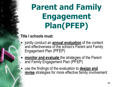#### **Title I schools must:**

- jointly conduct an **annual evaluation** of the content and effectiveness of the school's Parent and Family Engagement Plan (PFEP)
	- **monitor and evaluate** the strategies of the Parent and Family Engagement Plan (PFEP)

**E** use the findings of the evaluation to **design and revise** strategies for more effective family involvement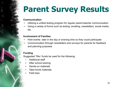## **Parent Survey Results**

#### **Communication**

- Utilizing a unified texting program for regular parent-teacher communication
- Using a variety of forms such as texting, emailing, newsletters, social media, etc.

#### **Involvement of Families**

- Hold events later in the day or evening time so they could participate
- Communication through newsletters and surveys for parents for feedback and planning purposes

#### **Funding**

Suggested Title I funds be used for the following:

- Additional staff
- After school tutoring
- Hands-on materials
- Take-home materials
- **Field trips**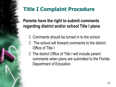### **Title I Complaint Procedure**

**Parents have the right to submit comments regarding district and/or school Title I plans**

- $\Box$  Comments should be turned in to the school
- The school will forward comments to the district Office of Title I
- $\Box$  The district Office of Title I will include parent comments when plans are submitted to the Florida Department of Education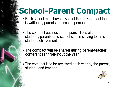### **School-Parent Compact**

- Each school must have a School-Parent Compact that is written by parents and school personnel
- **The compact outlines the responsibilities of the** students, parents, and school staff in striving to raise student achievement
- **EXTE: The compact will be shared during parent-teacher conferences throughout the year**
- The compact is to be reviewed each year by the parent, student, and teacher

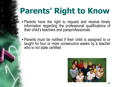## **Parents' Right to Know**

- **Parents have the right to request and receive timely** information regarding the professional qualifications of their child's teachers and paraprofessionals
- **Parents must be notified if their child is assigned to or** taught for four or more consecutive weeks by a teacher who is not state certified

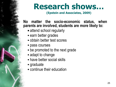### **Research shows…**

**(Epstein and Associates, 2009)**

#### **No matter the socio-economic status, when parents are involved, students are more likely to:**

- **Example 1** attend school regularly
- earn better grades
- **obtain better test scores**
- **Pass courses**
- **Exercise is obsequent of the next grade**
- adapt to change
- **have better social skills**
- graduate
- **Example 1** continue their education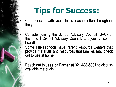- Communicate with your child's teacher often throughout the year!
	- Consider joining the School Advisory Council (SAC) or the Title I District Advisory Council. Let your voice be heard!

• Some Title I schools have Parent Resource Centers that provide materials and resources that families may check out to use at home

• Reach out to **Jessica Farner at 321-636-5801** to discuss available materials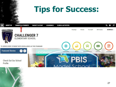

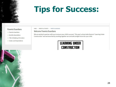

#### Parents/Guardians

- $\rightarrow$  Parents/Guardians
- $\rightarrow$  Monthly Newsletters
- → Title IX/Bullying Information
- $\rightarrow$  Grade Level Expectations

HOME > PARENTS & STUDENTS > PARENTS/GUARDIANS

#### **Welcome Parents/Guardians**

We are excited to partner with you to ensure your child's success! This year's school wide theme is "Learning Under Construction" and we know that by working together we can build a bright future for your child.

#### **LEARNING UNDER CONSTRUCTION**

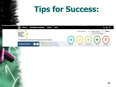